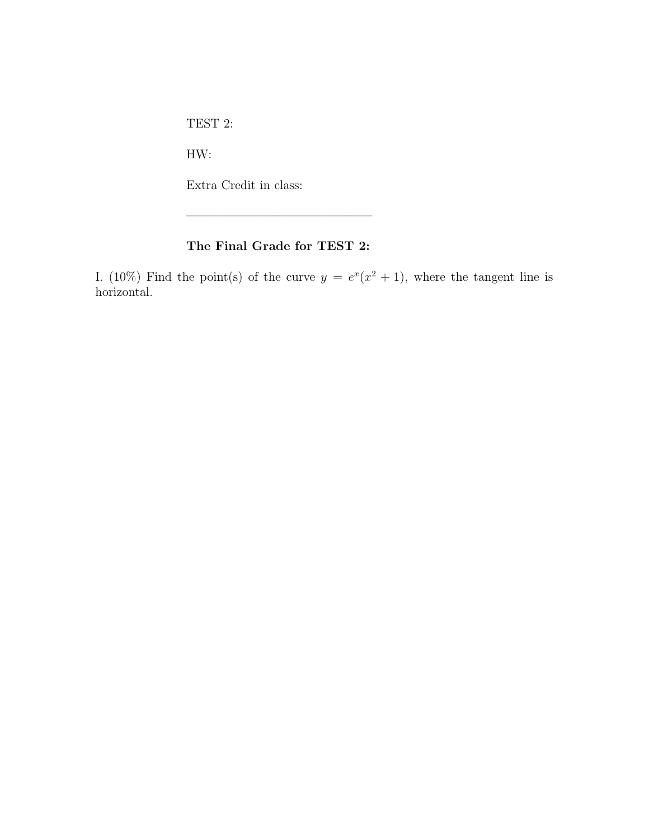TEST 2:

HW:

Extra Credit in class:

## The Final Grade for TEST 2:

———————————————

I. (10%) Find the point(s) of the curve  $y = e^x(x^2 + 1)$ , where the tangent line is horizontal.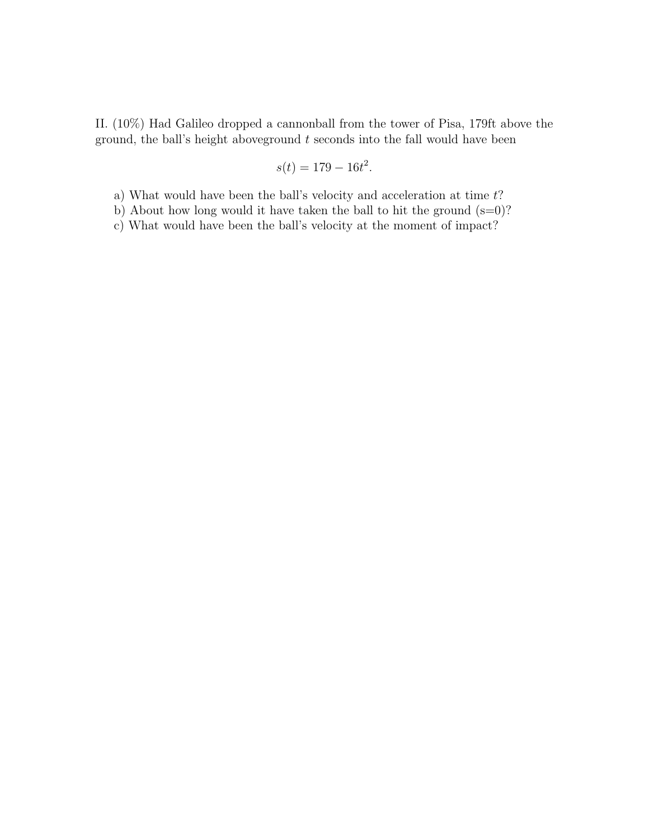II. (10%) Had Galileo dropped a cannonball from the tower of Pisa, 179ft above the ground, the ball's height above ground  $t$  seconds into the fall would have been

$$
s(t) = 179 - 16t^2.
$$

a) What would have been the ball's velocity and acceleration at time  $t$ ?

b) About how long would it have taken the ball to hit the ground  $(s=0)$ ?

c) What would have been the ball's velocity at the moment of impact?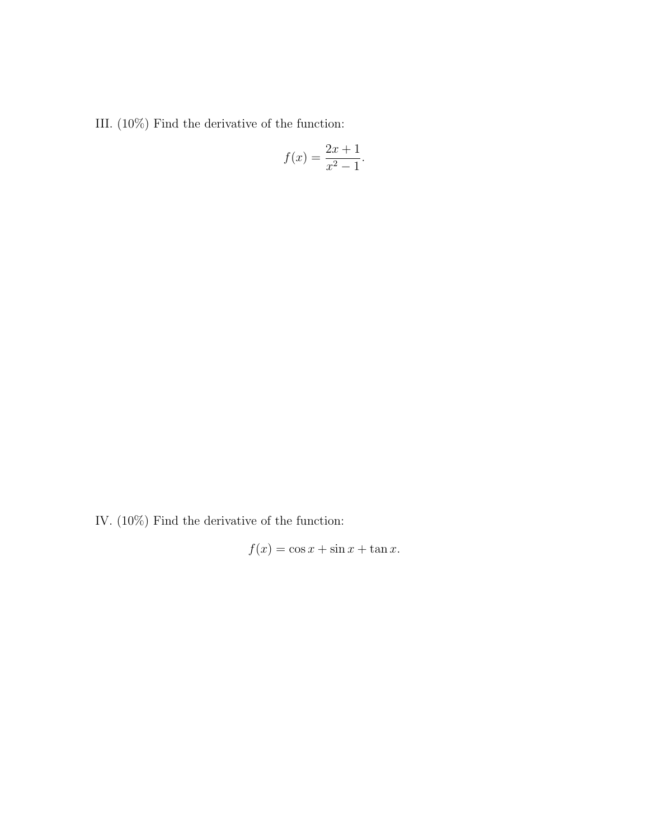III. $(10\%)$  Find the derivative of the function:

$$
f(x) = \frac{2x + 1}{x^2 - 1}.
$$

IV. (10%) Find the derivative of the function:

$$
f(x) = \cos x + \sin x + \tan x.
$$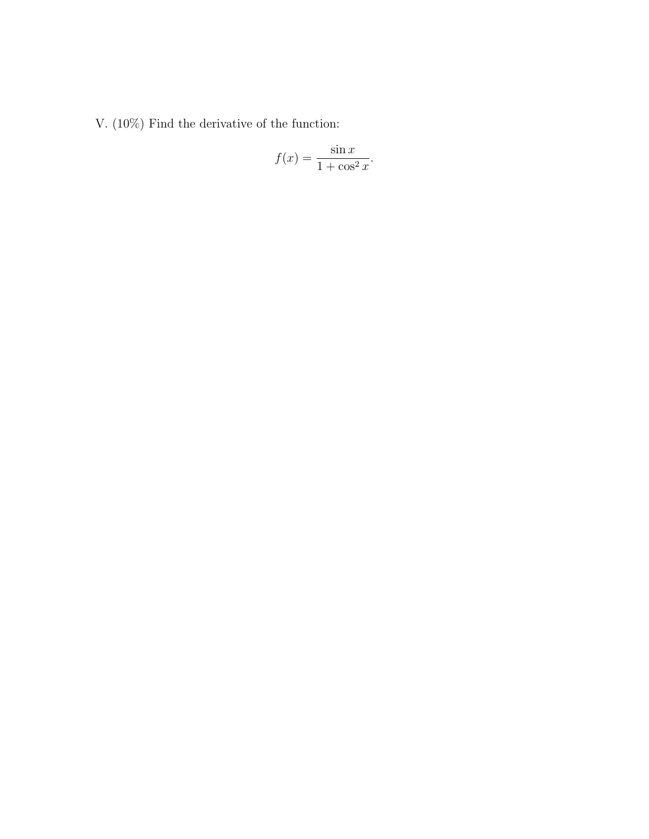V. (10%) Find the derivative of the function:

$$
f(x) = \frac{\sin x}{1 + \cos^2 x}.
$$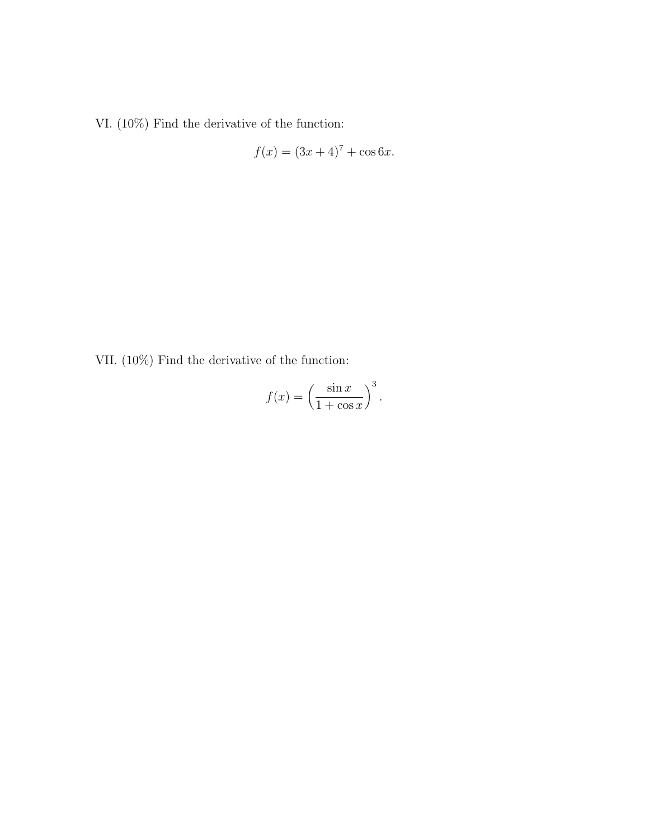VI. (10%) Find the derivative of the function:

$$
f(x) = (3x + 4)^7 + \cos 6x.
$$

VII. (10%) Find the derivative of the function:

$$
f(x) = \left(\frac{\sin x}{1 + \cos x}\right)^3.
$$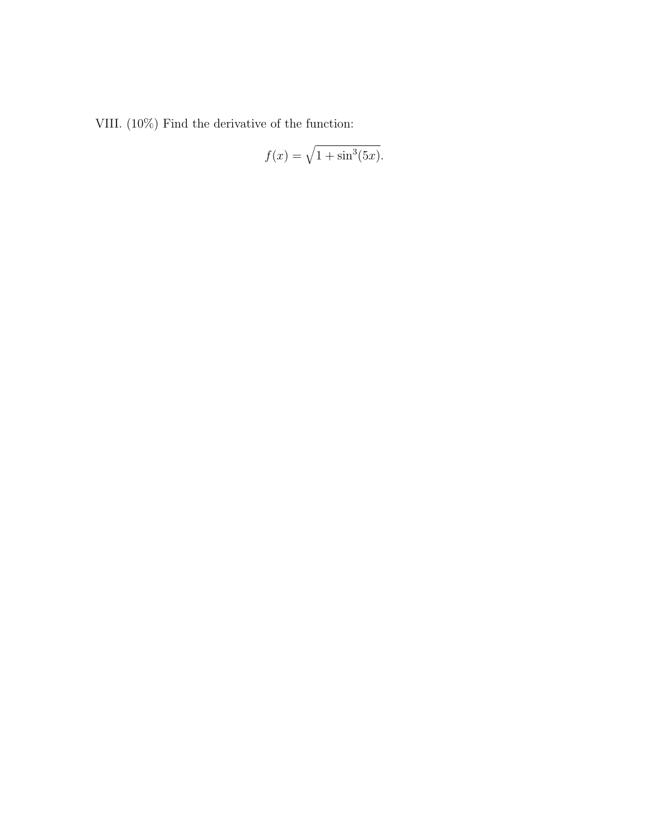VIII. $(10\%)$  Find the derivative of the function:

$$
f(x) = \sqrt{1 + \sin^3(5x)}.
$$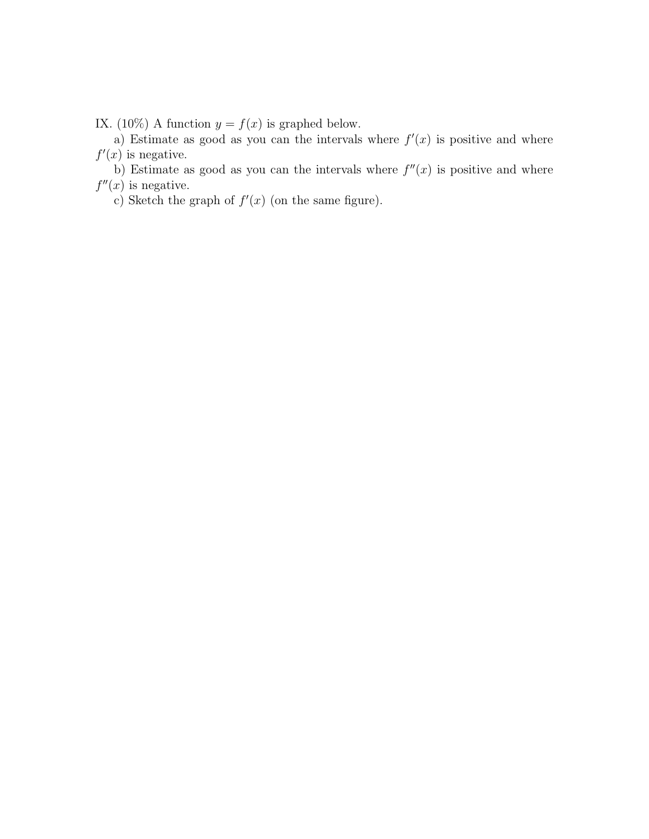IX. (10%) A function  $y = f(x)$  is graphed below.

a) Estimate as good as you can the intervals where  $f'(x)$  is positive and where  $f'(x)$  is negative.

b) Estimate as good as you can the intervals where  $f''(x)$  is positive and where  $f''(x)$  is negative.

c) Sketch the graph of  $f'(x)$  (on the same figure).